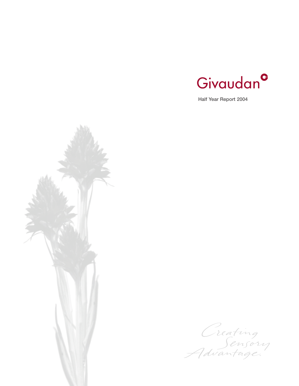

Half Year Report 2004



Creating<br>Sensory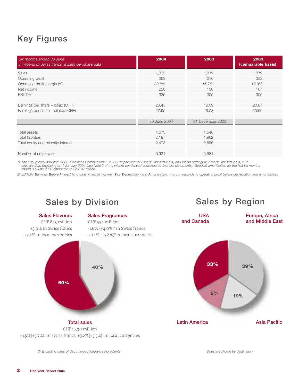# Key Figures

| Six months ended 30 June<br>in millions of Swiss francs, except per share data | 2004         | 2003             | 2003<br>(comparable basis) |
|--------------------------------------------------------------------------------|--------------|------------------|----------------------------|
| Sales                                                                          | 1,399        | 1,379            | 1,379                      |
| Operating profit                                                               | 283          | 216              | 253                        |
| Operating profit margin (%)                                                    | 20.2%        | 15.7%            | 18.3%                      |
| Net income                                                                     | 220          | 130              | 167                        |
| EBITDA <sup>2</sup>                                                            | 335          | 305              | 305                        |
|                                                                                |              |                  |                            |
| Earnings per share - basic (CHF)                                               | 28.45        | 16.09            | 20.67                      |
| Earnings per share - diluted (CHF)                                             | 27.95        | 16.03            | 20.59                      |
|                                                                                |              |                  |                            |
|                                                                                | 30 June 2004 | 31 December 2003 |                            |
|                                                                                |              |                  |                            |
| Total assets                                                                   | 4,675        | 4,548            |                            |
| <b>Total liabilities</b>                                                       | 2,197        | 1,962            |                            |
| Total equity and minority interest                                             | 2,478        | 2,586            |                            |
|                                                                                |              |                  |                            |
| Number of employees                                                            | 5,921        | 5,981            |                            |
|                                                                                |              |                  |                            |

1) The Group early adopted IFRS3 "Business Combinations", IAS36 "Impairment of Assets" (revised 2004) and IAS38 "Intangible Assets" (revised 2004) with<br>effective date beginning on 1 January 2004 (see Note 3 of the interim

2) EBITDA: Earnings Before Interest (and other financial income), Tax, Depreciation and Amortisation. This corresponds to operating profit before depreciation and amortisation.

# Sales by Division Sales by Region

### Sales Flavours

CHF 845 million +3.6% in Swiss francs +5.4% in local currencies

# Sales Fragrances

CHF 554 million  $-1.6\%$  ( $+4.0\%$ )<sup>3</sup> in Swiss francs  $+0.1\%$  ( $+5.8\%$ )<sup>3</sup> in local currencies



# Total sales CHF 1,399 million

+1.5%(+3.7%)<sup>3</sup> in Swiss francs, +3.2%(+5.5%)<sup>3</sup> in local currencies

*3) Excluding sales of discontinued fragrance ingredients Sales are shown by destination*

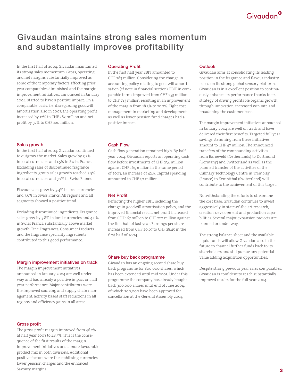# Givaudan<sup>o</sup>

# Givaudan maintains strong sales momentum and substantially improves profitability

In the first half of 2004, Givaudan maintained its strong sales momentum. Gross, operating and net margins substantially improved as some of the temporary factors affecting prior year comparables diminished and the margin improvement initiatives, announced in January 2004, started to have a positive impact. On a comparable basis, i. e. disregarding goodwill amortisation also in 2003, the operating profit increased by 12% to CHF 283 million and net profit by 32% to CHF 220 million.

#### Sales growth

In the first half of 2004, Givaudan continued to outgrow the market. Sales grew by 3.2% in local currencies and 1.5% in Swiss Francs. Excluding sales of discontinued fragrance ingredients, group sales growth reached 5.5% in local currencies and 3.7% in Swiss Francs.

Flavour sales grew by 5.4% in local currencies and 3.6% in Swiss Francs. All regions and all segments showed a positive trend.

Excluding discontinued ingredients, Fragrance sales grew by 5.8% in local currencies and 4.0% in Swiss Francs, substantially above market growth. Fine Fragrances, Consumer Products and the fragrance speciality ingredients contributed to this good performance.

#### Margin improvement initiatives on track

The margin improvement initiatives announced in January 2004 are well under way and had already a positive impact on half year performance. Major contributors were the improved sourcing and supply chain management, activity based staff reductions in all regions and efficiency gains in all areas.

#### Operating Profit

In the first half year EBIT amounted to CHF 283 million. Considering the change in accounting policy relating to goodwill amortisation (cf note in financial section), EBIT in comparable terms improved from CHF 253 million to CHF 283 million, resulting in an improvement of the margin from 18.3% to 20.2%. Tight cost management in marketing and development as well as lower pension fund charges had a positive impact.

## Cash Flow

Cash flow generation remained high. By half year 2004, Givaudan reports an operating cash flow before investments of CHF 234 million against CHF 164 million in the same period of 2003, an increase of 42%. Capital spending amounted to CHF 50 million.

## Net Profit

Reflecting the higher EBIT, including the change in goodwill amortisation policy, and the improved financial result, net profit increased from CHF 167 million to CHF 220 million against the first half of last year. Earnings per share increased from CHF 20.67 to CHF 28.45 in the first half of 2004.

#### Share buy back programme

Givaudan has an ongoing second share buy back programme for 800,000 shares, which has been extended until mid 2005. Under this programme the company has already bought back 300,000 shares until end of June 2004, of which 200,000 have been approved for cancellation at the General Assembly 2004.

### Outlook

Givaudan aims at consolidating its leading position in the fragrance and flavour industry based on its strong global sensory platform. Givaudan is in a excellent position to continuously enhance its performance thanks to its strategy of driving profitable organic growth through innovation, increased win rate and broadening the customer base.

The margin improvement initiatives announced in January 2004 are well on track and have delivered their first benefits. Targeted full year savings stemming from these initiatives amount to CHF 47 million. The announced transfers of the compounding activities from Barneveld (Netherlands) to Dortmund (Germany) and Switzerland as well as the planned transfer of the activities of the Culinary Technology Centre in Tremblay (France) to Kemptthal (Switzerland) will contribute to the achievement of this target.

Notwithstanding the efforts to streamline the cost base, Givaudan continues to invest aggressively in state-of-the art research, creation, development and production capabilities. Several major expansion projects are planned or under way.

The strong balance sheet and the available liquid funds will allow Givaudan also in the future to channel further funds back to its shareholders and still pursue any potential value adding acquisition opportunities.

Despite strong previous year sales comparables, Givaudan is confident to reach substantially improved results for the full year 2004.

#### Gross profit

The gross profit margin improved from 46.2% at half year 2003 to 48.3%. This is the consequence of the first results of the margin improvement initiatives and a more favourable product mix in both divisions. Additional positive factors were the stabilising currencies, lower pension charges and the enhanced Savoury margins.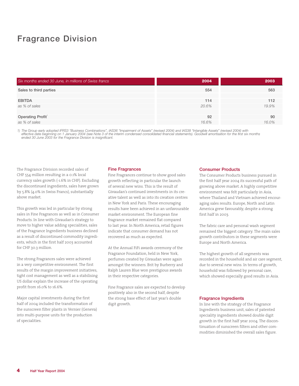# Fragrance Division

| Six months ended 30 June, in millions of Swiss francs | 2004  | 2003  |
|-------------------------------------------------------|-------|-------|
| Sales to third parties                                | 554   | 563   |
|                                                       |       |       |
| <b>EBITDA</b>                                         | 114   | 112   |
| as % of sales                                         | 20.6% | 19.9% |
|                                                       |       |       |
| Operating Profit                                      | 92    | 90    |
| as % of sales                                         | 16.6% | 16.0% |

1) The Group early adopted IFRS3 "Business Combinations", IAS36 "Impairment of Assets" (revised 2004) and IAS38 "Intangible Assets" (revised 2004) with<br>effective date beginning on 1 January 2004 (see Note 3 of the interim

The Fragrance Division recorded sales of CHF 554 million resulting in a 0.1% local currency sales growth (-1.6% in CHF). Excluding the discontinued ingredients, sales have grown by 5.8% (4.0% in Swiss Francs), substantially above market.

This growth was led in particular by strong sales in Fine Fragrances as well as in Consumer Products. In line with Givaudan's strategy to move to higher value adding specialities, sales of the Fragrance Ingredients business declined as a result of discontinued commodity ingredients, which in the first half 2003 accounted for CHF 30.3 million.

The strong Fragrances sales were achieved in a very competitive environment. The first results of the margin improvement initiatives, tight cost management as well as a stabilising US dollar explain the increase of the operating profit from 16.0% to 16.6%.

Major capital investments during the first half of 2004 included the transformation of the sunscreen filter plants in Vernier (Geneva) into multi-purpose units for the production of specialities.

#### Fine Fragrances

Fine Fragrances continue to show good sales growth reflecting in particular the launch of several new wins. This is the result of Givaudan's continued investments in its creative talent as well as into its creation centres in New York and Paris. These encouraging results have been achieved in an unfavourable market environment. The European fine fragrance market remained flat compared to last year. In North America, retail figures indicate that consumer demand has not recovered as much as expected.

At the Annual FiFi awards ceremony of the Fragrance Foundation, held in New York, perfumes created by Givaudan were again amongst the winners. Brit by Burberry and Ralph Lauren Blue won prestigious awards in their respective categories.

Fine Fragrance sales are expected to develop positively also in the second half, despite the strong base effect of last year's double digit growth.

#### Consumer Products

The Consumer Products business pursued in the first half year 2004 its successful path of growing above market. A highly competitive environment was felt particularly in Asia, where Thailand and Vietnam achieved encouraging sales results. Europe, North and Latin America grew favourably, despite a strong first half in 2003.

The fabric care and personal wash segment remained the biggest category. The main sales growth contributors in these segments were Europe and North America.

The highest growth of all segments was recorded in the household and air care segment, due to several new wins. In terms of growth, household was followed by personal care, which showed especially good results in Asia.

#### Fragrance Ingredients

In line with the strategy of the Fragrance Ingredients business unit, sales of patented speciality ingredients showed double digit growth in the first half year 2004. The discontinuation of sunscreen filters and other commodities diminished the overall sales figure.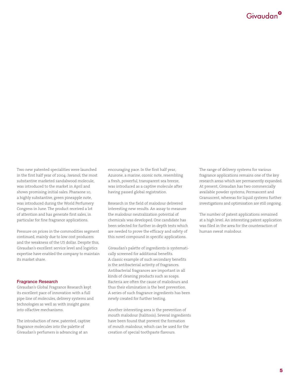

Two new patented specialities were launched in the first half year of 2004: Javanol, the most substantive marketed sandalwood molecule, was introduced to the market in April and shows promising initial sales. Pharaone 10, a highly substantive, green pineapple note, was introduced during the World Perfumery Congress in June. The product received a lot of attention and has generate first sales, in particular for fine fragrance applications.

Pressure on prices in the commodities segment continued, mainly due to low cost producers and the weakness of the US dollar. Despite this, Givaudan's excellent service level and logistics expertise have enabled the company to maintain its market share.

#### Fragrance Research

Givaudan's Global Fragrance Research kept its excellent pace of innovation with a full pipe-line of molecules, delivery systems and technologies as well as with insight gains into olfactive mechanisms.

The introduction of new, patented, captive fragrance molecules into the palette of Givaudan's perfumers is advancing at an

encouraging pace. In the first half year, Azurone, a marine, ozonic note, resembling a fresh, powerful, transparent sea breeze, was introduced as a captive molecule after having passed global registration.

Research in the field of malodour delivered interesting new results. An assay to measure the malodour neutralization potential of chemicals was developed. One candidate has been selected for further in-depth tests which are needed to prove the efficacy and safety of this novel compound in specific applications.

Givaudan's palette of ingredients is systematically screened for additional benefits. A classic example of such secondary benefits is the antibacterial activity of fragrances. Antibacterial fragrances are important in all kinds of cleaning products such as soaps. Bacteria are often the cause of malodours and thus their elimination is the best prevention. A series of such fragrance ingredients has been newly created for further testing.

Another interesting area is the prevention of mouth malodour (halitosis). Several ingredients have been found that prevent the formation of mouth malodour, which can be used for the creation of special toothpaste flavours.

The range of delivery systems for various fragrance applications remains one of the key research areas which are permanently expanded. At present, Givaudan has two commercially available powder systems; Permascent and Granuscent, whereas for liquid systems further investigations and optimisation are still ongoing.

The number of patent applications remained at a high level. An interesting patent application was filed in the area for the counteraction of human sweat malodour.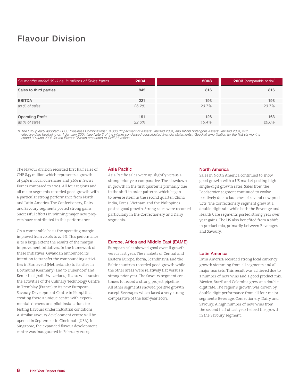# Flavour Division

| Six months ended 30 June, in millions of Swiss francs | 2004  | 2003  | <b>2003</b> (comparable basis) |
|-------------------------------------------------------|-------|-------|--------------------------------|
| Sales to third parties                                | 845   | 816   | 816                            |
|                                                       |       |       |                                |
| <b>EBITDA</b>                                         | 221   | 193   | 193                            |
| as % of sales                                         | 26.2% | 23.7% | 23.7%                          |
|                                                       |       |       |                                |
| <b>Operating Profit</b>                               | 191   | 126   | 163                            |
| as % of sales                                         | 22.6% | 15.4% | $20.0\%$                       |

1) The Group early adopted IFRS3 "Business Combinations", IAS36 "Impairment of Assets" (revised 2004) and IAS38 "Intangible Assets" (revised 2004) with<br>effective date beginning on 1 January 2004 (see Note 3 of the interim

The Flavour division recorded first half sales of CHF 845 million which represents a growth of 5.4% in local currencies and 3.6% in Swiss Francs compared to 2003. All four regions and all major segments recorded good growth with a particular strong performance from North and Latin America. The Confectionery, Dairy and Savoury segments posted strong gains. Successful efforts in winning major new projects have contributed to this performance.

On a comparable basis the operating margin improved from 20.0% to 22.6%. This performance is to a large extent the results of the margin improvement initiatives. In the framework of these initiatives, Givaudan announced its intention to transfer the compounding activities in Barneveld (Netherlands) to its sites in Dortmund (Germany) and to Dübendorf and Kemptthal (both Switzerland). It also will transfer the activities of the Culinary Technology Centre in Tremblay (France) to its new European Savoury Development Centre in Kemptthal, creating there a unique centre with experimental kitchens and pilot installations for testing flavours under industrial conditions. A similar savoury development centre will be opened in September in Cincinnati (USA). In Singapore, the expanded flavour development centre was inaugurated in February 2004.

### Asia Pacific

Asia Pacific sales were up slightly versus a strong prior year comparative. The slowdown in growth in the first quarter is primarily due to the shift in order patterns which began to reverse itself in the second quarter. China, India, Korea, Vietnam and the Philippines posted good growth. Strong sales were recorded particularly in the Confectionery and Dairy segments.

#### Europe, Africa and Middle East (EAME)

European sales showed good overall growth versus last year. The markets of Central and Eastern Europe, Iberia, Scandinavia and the Baltic countries recorded good growth while the other areas were relatively flat versus a strong prior year. The Savoury segment continues to record a strong project pipeline. All other segments showed positive growth except Beverages which faced a very strong comparative of the half-year 2003.

#### North America

Sales in North America continued to show good growth with a US market posting high single-digit growth rates. Sales from the Foodservice segment continued to evolve positively due to launches of several new products. The Confectionery segment grew at a double-digit rate while both the Beverage and Health Care segments posted strong year over year gains. The US also benefited from a shift in product mix, primarily between Beverages and Savoury.

#### Latin America

Latin America recorded strong local currency growth stemming from all segments and all major markets. This result was achieved due to a number of new wins and a good product mix. Mexico, Brazil and Colombia grew at a double digit rate. The region's growth was driven by double-digit performance from all four major segments; Beverage, Confectionery, Dairy and Savoury. A high number of new wins from the second half of last year helped the growth in the Savoury segment.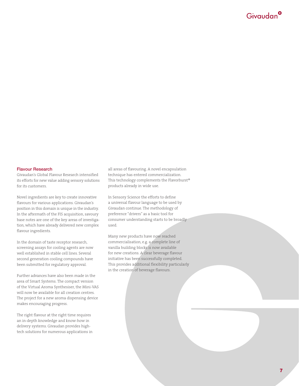

#### Flavour Research

Givaudan's Global Flavour Research intensified its efforts for new value adding sensory solutions for its customers.

Novel ingredients are key to create innovative flavours for various applications. Givaudan's position in this domain is unique in the industry. In the aftermath of the FIS acquisition, savoury base notes are one of the key areas of investigation, which have already delivered new complex flavour ingredients.

In the domain of taste receptor research, screening assays for cooling agents are now well established in stable cell lines. Several second generation cooling compounds have been submitted for regulatory approval.

Further advances have also been made in the area of Smart Systems. The compact version of the Virtual Aroma Synthesiser, the Mini-VAS will now be available for all creation centres. The project for a new aroma dispensing device makes encouraging progress.

The right flavour at the right time requires an in-depth knowledge and know-how in delivery systems. Givaudan provides hightech solutions for numerous applications in all areas of flavouring. A novel encapsulation technique has entered commercialization. This technology complements the Flavorburst® products already in wide use.

In Sensory Science the efforts to define a universal flavour language to be used by Givaudan continue. The methodology of preference "drivers" as a basic tool for consumer understanding starts to be broadly used.

Many new products have now reached commercialisation, e.g. a complete line of vanilla building blocks is now available for new creations. A clear beverage flavour initiative has been successfully completed. This provides additional flexibility particularly in the creation of beverage flavours.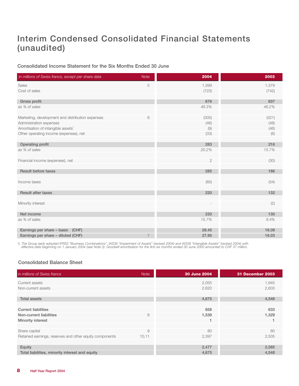# Interim Condensed Consolidated Financial Statements (unaudited)

Consolidated Income Statement for the Six Months Ended 30 June

| in millions of Swiss francs, except per share data | <b>Note</b>    | 2004       | 2003  |
|----------------------------------------------------|----------------|------------|-------|
| Sales                                              | $\mathbf 5$    | 1,399      | 1,379 |
| Cost of sales                                      |                | (723)      | (742) |
| Gross profit                                       |                | 676        | 637   |
| as % of sales                                      |                | 48.3%      | 46.2% |
|                                                    |                |            |       |
| Marketing, development and distribution expenses   | 6              | (305)      | (321) |
| Administration expenses                            |                | (46)       | (48)  |
| Amortisation of intangible assets <sup>1</sup>     |                | (9)        | (46)  |
| Other operating income (expenses), net             |                | (33)       | (6)   |
| Operating profit                                   |                | 283        | 216   |
| as % of sales                                      |                | 20.2%      | 15.7% |
|                                                    |                |            |       |
| Financial income (expenses), net                   |                | $\sqrt{2}$ | (30)  |
| <b>Result before taxes</b>                         |                | 285        | 186   |
|                                                    |                |            |       |
| Income taxes                                       |                | (65)       | (54)  |
|                                                    |                |            |       |
| <b>Result after taxes</b>                          |                | 220        | 132   |
| Minority interest                                  |                |            | (2)   |
|                                                    |                |            |       |
| Net income                                         |                | 220        | 130   |
| as % of sales                                      |                | 15.7%      | 9.4%  |
|                                                    |                |            |       |
| Earnings per share - basic (CHF)                   |                | 28.45      | 16.09 |
| Earnings per share - diluted (CHF)                 | $\overline{7}$ | 27.95      | 16.03 |

1) The Group early adopted IFRS3 "Business Combinations", IAS36 "Impairment of Assets" (revised 2004) and IAS38 "Intangible Assets" (revised 2004) with<br>-effective date beginning on 1 January 2004 (see Note 3). Goodwill amo

# Consolidated Balance Sheet

| in millions of Swiss francs                             | <b>Note</b> | 30 June 2004 | <b>31 December 2003</b> |
|---------------------------------------------------------|-------------|--------------|-------------------------|
| Current assets                                          |             | 2,055        | 1,945                   |
| Non-current assets                                      |             | 2,620        | 2,603                   |
| <b>Total assets</b>                                     |             | 4,675        | 4,548                   |
|                                                         |             |              |                         |
| <b>Current liabilities</b>                              |             | 658          | 633                     |
| Non-current liabilities                                 | 8           | 1,539        | 1,329                   |
| Minority interest                                       |             | 1            |                         |
|                                                         |             |              |                         |
| Share capital                                           | 9           | 80           | 80                      |
| Retained earnings, reserves and other equity components | 10,11       | 2,397        | 2,505                   |
|                                                         |             |              |                         |
| Equity                                                  |             | 2,477        | 2,585                   |
| Total liabilities, minority interest and equity         |             | 4,675        | 4,548                   |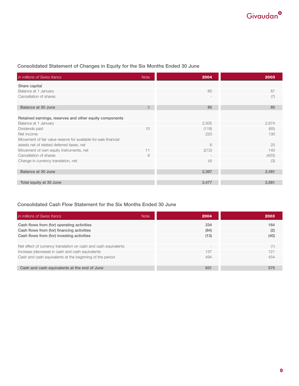# Consolidated Statement of Changes in Equity for the Six Months Ended 30 June

| in millions of Swiss francs                                     | <b>Note</b>   | 2004  | 2003  |
|-----------------------------------------------------------------|---------------|-------|-------|
| Share capital                                                   |               |       |       |
| Balance at 1 January                                            |               | 80    | 87    |
| Cancellation of shares                                          |               |       | (7)   |
|                                                                 |               |       |       |
| Balance at 30 June                                              | $\mathcal{G}$ | 80    | 80    |
|                                                                 |               |       |       |
| Retained earnings, reserves and other equity components         |               |       |       |
| Balance at 1 January                                            |               | 2,505 | 2,674 |
| Dividends paid                                                  | 10            | (118) | (65)  |
| Net income                                                      |               | 220   | 130   |
| Movement of fair value reserve for available-for-sale financial |               |       |       |
| assets net of related deferred taxes, net                       |               | 6     | 25    |
| Movement of own equity instruments, net                         | 11            | (212) | 140   |
| Cancellation of shares                                          | $\Theta$      |       | (420) |
| Change in currency translation, net                             |               | (4)   | (3)   |
|                                                                 |               |       |       |
| Balance at 30 June                                              |               | 2,397 | 2,481 |
|                                                                 |               |       |       |
| Total equity at 30 June                                         |               | 2,477 | 2,561 |

# Consolidated Cash Flow Statement for the Six Months Ended 30 June

| in millions of Swiss francs<br><b>Note</b>                      | 2004   | 2003 |
|-----------------------------------------------------------------|--------|------|
| Cash flows from (for) operating activities                      | 234    | 164  |
| Cash flows from (for) financing activities                      | (84)   | (2)  |
| Cash flows from (for) investing activities                      | (13)   | (40) |
|                                                                 |        |      |
| Net effect of currency translation on cash and cash equivalents | $\sim$ | (1)  |
| Increase (decrease) in cash and cash equivalents                | 137    | 121  |
| Cash and cash equivalents at the beginning of the period        | 494    | 454  |
|                                                                 |        |      |
| Cash and cash equivalents at the end of June                    | 631    | 575  |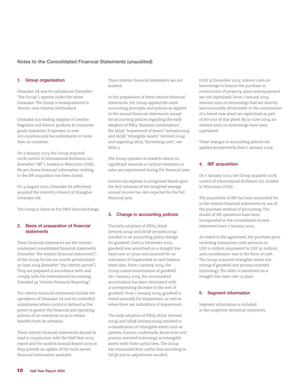# Notes to the Consolidated Financial Statements (unaudited)

#### 1. Group organisation

Givaudan SA and its subsidiaries (hereafter "the Group"), operate under the name Givaudan. The Group is headquartered in Vernier, near Geneva, Switzerland.

Givaudan is a leading supplier of creative fragrance and flavour products to consumer goods industries. It operates in over 100 countries and has subsidiaries in more than 20 countries.

On 7 January 2003, the Group acquired 100% control of International Bioflavors Inc. (hereafter "IBF"), located in Wisconsin (USA). No pro forma financial information relating to the IBF acquisition has been stated.

On 4 August 2003, Givaudan SA effectively acquired the minority interest of Shanghai Givaudan Ltd.

The Group is listed on the SWX Swiss Exchange.

#### 2. Basis of preparation of financial statements

These financial statements are the interim condensed consolidated financial statements (hereafter "the interim financial statements") of the Group for the six-month period ended 30 June 2004 (hereafter "the interim period"). They are prepared in accordance with and comply with the International Accounting Standard 34 "Interim Financial Reporting".

The interim financial statements include the operations of Givaudan SA and its controlled subsidiaries where control is defined as the power to govern the financial and operating policies of an enterprise so as to obtain benefits from its activities.

These interim financial statements should be read in conjunction with the Half-Year 2003 report and the audited Annual Report 2003 as they provide an update of the most recent financial information available.

These interim financial statements are not audited.

In the preparation of these interim financial statements, the Group applied the same accounting principles and policies as applied in the annual financial statements, except for accounting policies regarding the early adoption of IFRS3 "Business Combinations", the IAS36 "Impairment of Assets" (revised 2004) and IAS38 "Intangible Assets" (revised 2004) and regarding IAS23 "Borrowing costs", see Note 3.

The Group operates in markets where no significant seasonal or cyclical variations in sales are experienced during the financial year.

Income tax expense is recognised based upon the best estimate of the weighted average annual income tax rate expected for the full financial year.

#### 3. Change in accounting policies

The early adoption of IFRS3, IAS36 (revised 2004) and IAS38 (revised 2004) resulted in an accounting policy change for goodwill. Until 31 December 2003, goodwill was amortised on a straight line basis over 20 years and assessed for an indication of impairment at each balance sheet date. From 1 January 2004, the Group ceased amortisation of goodwill. On 1 January 2004, the accumulated amortisation has been eliminated with a corresponding decrease in the cost of goodwill. From 1 January 2004, goodwill is tested annually for impairment, as well as when there are indications of impairment.

The early adoption of IFRS3, IAS36 (revised 2004) and IAS38 (revised 2004) resulted in a classification of intangible assets such as patents, licences, trademarks, know-how and process-oriented technology as intangible assets with finite useful lives. The Group has reassessed their useful lives according to IAS38 and no adjustment resulted.

Until 31 December 2003, interest costs on borrowings to finance the purchase or construction of property, plant and equipment are not capitalised. From 1 January 2004 interest costs on borrowings that are directly and exclusively attributable to the construction of a brand-new plant are capitalised as part of the cost of that plant. By 30 June 2004, no interest costs on borrowings have been capitalised.

These changes in accounting policies are applied prospectively from 1 January 2004.

#### 4. IBF acquisition

On 7 January 2003, the Group acquired 100% control of International Bioflavors Inc. located in Wisconsin (USA).

The acquisition of IBF has been accounted for in the interim financial statements by use of the purchase method of accounting. The results of IBF operations have been incorporated in the consolidated income statement since 7 January 2003.

As stated in the agreement, the purchase price excluding transaction costs amounts to USD 21 million (equivalent to CHF 30 million) and consideration was in the form of cash. The Group acquired intangible assets consisting of goodwill and process-oriented technology. The latter is amortised on a straight-line basis over 15 years.

#### 5. Segment information

Segment information is included in the respective divisional comments.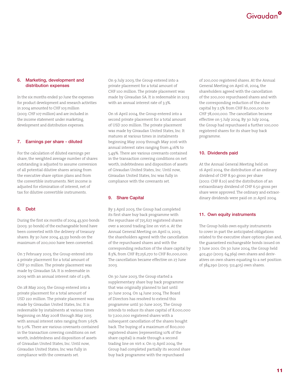#### 6. Marketing, development and distribution expenses

In the six months ended 30 June the expenses for product development and research activities in 2004 amounted to CHF 103 million (2003: CHF 107 million) and are included in the income statement under marketing, development and distribution expenses.

## 7. Earnings per share - diluted

For the calculation of diluted earnings per share, the weighted average number of shares outstanding is adjusted to assume conversion of all potential dilutive shares arising from the executive share option plans and from the convertible instruments. Net income is adjusted for elimination of interest, net of tax for dilutive convertible instruments.

## 8. Debt

During the first six months of 2004, 43,300 bonds (2003: 30 bonds) of the exchangeable bond have been converted with the delivery of treasury shares. By 30 June 2004, 43,331 bonds on the maximum of 200,000 have been converted.

On 7 February 2003, the Group entered into a private placement for a total amount of CHF 50 million. The private placement was made by Givaudan SA. It is redeemable in 2009 with an annual interest rate of 2.9%.

On 28 May 2003, the Group entered into a private placement for a total amount of USD 220 million. The private placement was made by Givaudan United States, Inc. It is redeemable by instalments at various times beginning on May 2008 through May 2015 with annual interest rates ranging from 3.65% to 5.0%. There are various covenants contained in the transaction covering conditions on net worth, indebtedness and disposition of assets of Givaudan United States, Inc. Until now, Givaudan United States, Inc was fully in compliance with the covenants set.

On 9 July 2003, the Group entered into a private placement for a total amount of CHF 100 million. The private placement was made by Givaudan SA. It is redeemable in 2013 with an annual interest rate of 3.3%.

On 16 April 2004, the Group entered into a second private placement for a total amount of USD 200 million. The private placement was made by Givaudan United States, Inc. It matures at various times in instalments beginning May 2009 through May 2016 with annual interest rates ranging from 4.16% to 5.49%. There are various covenants contained in the transaction covering conditions on net worth, indebtedness and disposition of assets of Givaudan United States, Inc. Until now, Givaudan United States, Inc was fully in compliance with the covenants set.

## 9. Share Capital

By 3 April 2003, the Group had completed its first share buy back programme with the repurchase of 725,627 registered shares over a second trading line on virt-x. At the Annual General Meeting on April 11, 2003, the shareholders agreed with the cancellation of the repurchased shares and with the corresponding reduction of the share capital by 8.3%, from CHF 87,256,270 to CHF 80,000,000. The cancellation became effective on 27 June 2003.

On 30 June 2003, the Group started a supplementary share buy back programme that was originally planned to last until 30 June 2004. On 14 June 2004, The Board of Directors has resolved to extend this programme until 30 June 2005. The Group intends to reduce its share capital of 8,000,000 to 7,200,000 registered shares with a subsequent cancellation of the shares bought back. The buying of a maximum of 800,000 registered shares (representing 10% of the share capital) is made through a second trading line on virt-x. On 13 April 2004, the Group had completed partially its second share buy back programme with the repurchased

of 200,000 registered shares. At the Annual General Meeting on April 16, 2004, the shareholders agreed with the cancellation of the 200,000 repurchased shares and with the corresponding reduction of the share capital by 2.5% from CHF 80,000,000 to CHF 78,000,000. The cancellation became effective on 5 July 2004. By 30 July 2004, the Group had repurchased a further 100,000 registered shares for its share buy back programme.

### 10. Dividends paid

At the Annual General Meeting held on 16 April 2004, the distribution of an ordinary dividend of CHF 8.90 gross per share (2002: CHF 8.10) and the distribution of an extraordinary dividend of CHF 6.50 gross per share were approved. The ordinary and extraordinary dividends were paid on 21 April 2004.

## 11. Own equity instruments

The Group holds own equity instruments to cover in-part the anticipated obligations related to the executive share options plan and, the guaranteed exchangeable bonds issued on 7 June 2001. On 30 June 2004, the Group held 402,450 (2003: 64,369) own shares and derivatives on own shares equating to a net position of 384,290 (2003: 512,405) own shares.